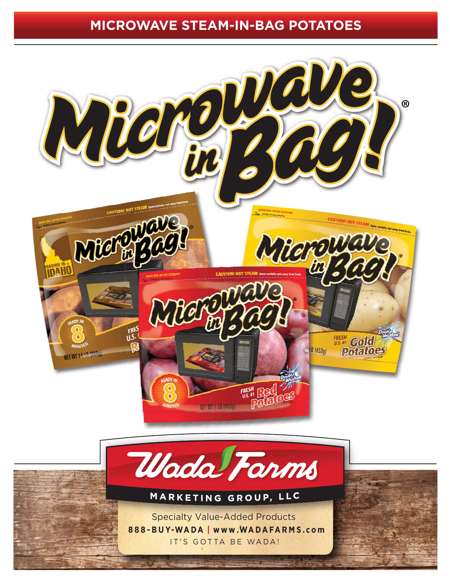## **MICROWAVE STEAM-IN-BAG POTATOES**